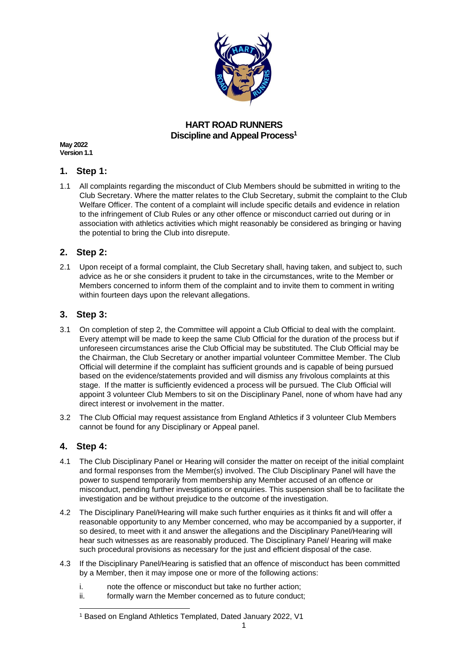

## **HART ROAD RUNNERS Discipline and Appeal Process<sup>1</sup>**

**May 2022 Version 1.1**

## **1. Step 1:**

1.1 All complaints regarding the misconduct of Club Members should be submitted in writing to the Club Secretary. Where the matter relates to the Club Secretary, submit the complaint to the Club Welfare Officer. The content of a complaint will include specific details and evidence in relation to the infringement of Club Rules or any other offence or misconduct carried out during or in association with athletics activities which might reasonably be considered as bringing or having the potential to bring the Club into disrepute.

## **2. Step 2:**

2.1 Upon receipt of a formal complaint, the Club Secretary shall, having taken, and subject to, such advice as he or she considers it prudent to take in the circumstances, write to the Member or Members concerned to inform them of the complaint and to invite them to comment in writing within fourteen days upon the relevant allegations.

## **3. Step 3:**

- 3.1 On completion of step 2, the Committee will appoint a Club Official to deal with the complaint. Every attempt will be made to keep the same Club Official for the duration of the process but if unforeseen circumstances arise the Club Official may be substituted. The Club Official may be the Chairman, the Club Secretary or another impartial volunteer Committee Member. The Club Official will determine if the complaint has sufficient grounds and is capable of being pursued based on the evidence/statements provided and will dismiss any frivolous complaints at this stage. If the matter is sufficiently evidenced a process will be pursued. The Club Official will appoint 3 volunteer Club Members to sit on the Disciplinary Panel, none of whom have had any direct interest or involvement in the matter.
- 3.2 The Club Official may request assistance from England Athletics if 3 volunteer Club Members cannot be found for any Disciplinary or Appeal panel.

## **4. Step 4:**

- 4.1 The Club Disciplinary Panel or Hearing will consider the matter on receipt of the initial complaint and formal responses from the Member(s) involved. The Club Disciplinary Panel will have the power to suspend temporarily from membership any Member accused of an offence or misconduct, pending further investigations or enquiries. This suspension shall be to facilitate the investigation and be without prejudice to the outcome of the investigation.
- 4.2 The Disciplinary Panel/Hearing will make such further enquiries as it thinks fit and will offer a reasonable opportunity to any Member concerned, who may be accompanied by a supporter, if so desired, to meet with it and answer the allegations and the Disciplinary Panel/Hearing will hear such witnesses as are reasonably produced. The Disciplinary Panel/ Hearing will make such procedural provisions as necessary for the just and efficient disposal of the case.
- 4.3 If the Disciplinary Panel/Hearing is satisfied that an offence of misconduct has been committed by a Member, then it may impose one or more of the following actions:
	- i. note the offence or misconduct but take no further action;
	- ii. formally warn the Member concerned as to future conduct;

<sup>1</sup> Based on England Athletics Templated, Dated January 2022, V1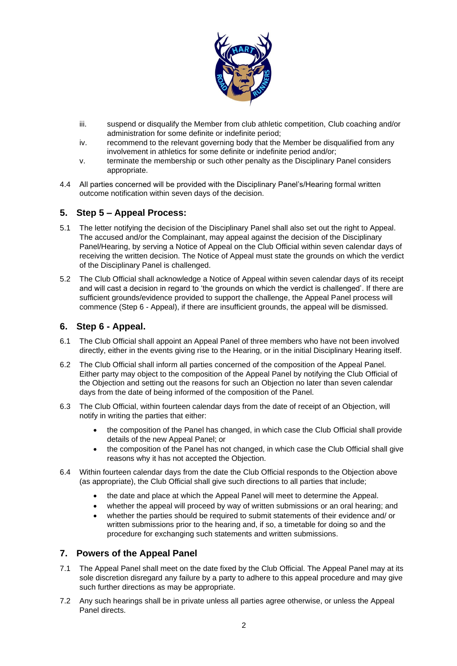

- iii. suspend or disqualify the Member from club athletic competition, Club coaching and/or administration for some definite or indefinite period;
- iv. recommend to the relevant governing body that the Member be disqualified from any involvement in athletics for some definite or indefinite period and/or;
- v. terminate the membership or such other penalty as the Disciplinary Panel considers appropriate.
- 4.4 All parties concerned will be provided with the Disciplinary Panel's/Hearing formal written outcome notification within seven days of the decision.

## **5. Step 5 – Appeal Process:**

- 5.1 The letter notifying the decision of the Disciplinary Panel shall also set out the right to Appeal. The accused and/or the Complainant, may appeal against the decision of the Disciplinary Panel/Hearing, by serving a Notice of Appeal on the Club Official within seven calendar days of receiving the written decision. The Notice of Appeal must state the grounds on which the verdict of the Disciplinary Panel is challenged.
- 5.2 The Club Official shall acknowledge a Notice of Appeal within seven calendar days of its receipt and will cast a decision in regard to 'the grounds on which the verdict is challenged'. If there are sufficient grounds/evidence provided to support the challenge, the Appeal Panel process will commence (Step 6 - Appeal), if there are insufficient grounds, the appeal will be dismissed.

#### **6. Step 6 - Appeal.**

- 6.1 The Club Official shall appoint an Appeal Panel of three members who have not been involved directly, either in the events giving rise to the Hearing, or in the initial Disciplinary Hearing itself.
- 6.2 The Club Official shall inform all parties concerned of the composition of the Appeal Panel. Either party may object to the composition of the Appeal Panel by notifying the Club Official of the Objection and setting out the reasons for such an Objection no later than seven calendar days from the date of being informed of the composition of the Panel.
- 6.3 The Club Official, within fourteen calendar days from the date of receipt of an Objection, will notify in writing the parties that either:
	- the composition of the Panel has changed, in which case the Club Official shall provide details of the new Appeal Panel; or
	- the composition of the Panel has not changed, in which case the Club Official shall give reasons why it has not accepted the Objection.
- 6.4 Within fourteen calendar days from the date the Club Official responds to the Objection above (as appropriate), the Club Official shall give such directions to all parties that include;
	- the date and place at which the Appeal Panel will meet to determine the Appeal.
	- whether the appeal will proceed by way of written submissions or an oral hearing; and
	- whether the parties should be required to submit statements of their evidence and/ or written submissions prior to the hearing and, if so, a timetable for doing so and the procedure for exchanging such statements and written submissions.

## **7. Powers of the Appeal Panel**

- 7.1 The Appeal Panel shall meet on the date fixed by the Club Official. The Appeal Panel may at its sole discretion disregard any failure by a party to adhere to this appeal procedure and may give such further directions as may be appropriate.
- 7.2 Any such hearings shall be in private unless all parties agree otherwise, or unless the Appeal Panel directs.